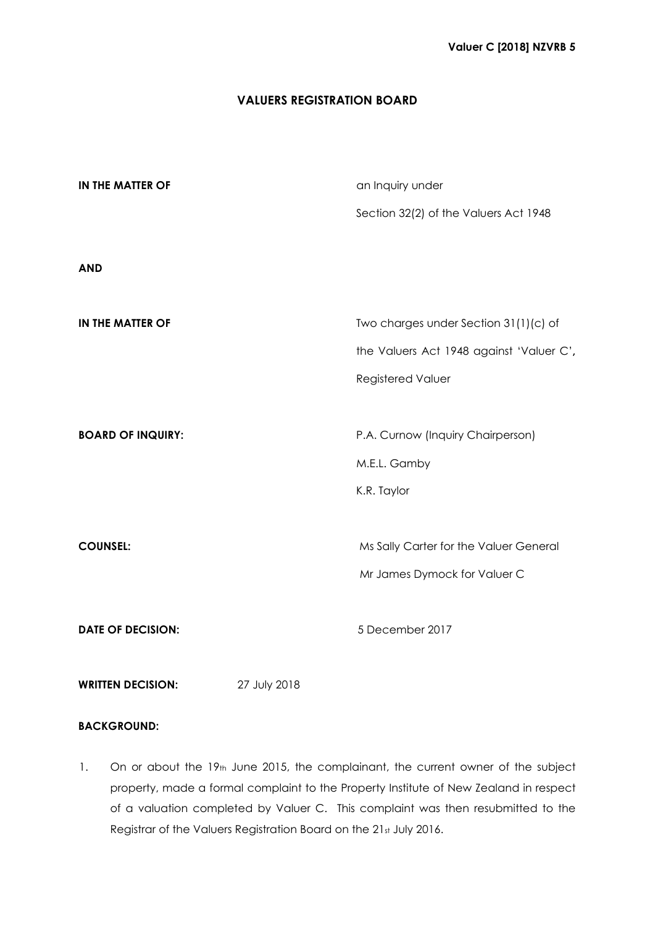# **VALUERS REGISTRATION BOARD**

| IN THE MATTER OF         | an Inquiry under                         |
|--------------------------|------------------------------------------|
|                          | Section 32(2) of the Valuers Act 1948    |
|                          |                                          |
| <b>AND</b>               |                                          |
|                          |                                          |
| <b>IN THE MATTER OF</b>  | Two charges under Section 31(1)(c) of    |
|                          | the Valuers Act 1948 against 'Valuer C', |
|                          | <b>Registered Valuer</b>                 |
|                          |                                          |
| <b>BOARD OF INQUIRY:</b> | P.A. Curnow (Inquiry Chairperson)        |
|                          | M.E.L. Gamby                             |
|                          | K.R. Taylor                              |
|                          |                                          |
| <b>COUNSEL:</b>          | Ms Sally Carter for the Valuer General   |
|                          | Mr James Dymock for Valuer C             |
|                          |                                          |
| <b>DATE OF DECISION:</b> | 5 December 2017                          |
|                          |                                          |

**WRITTEN DECISION:** 27 July 2018

# **BACKGROUND:**

1. On or about the 19th June 2015, the complainant, the current owner of the subject property, made a formal complaint to the Property Institute of New Zealand in respect of a valuation completed by Valuer C. This complaint was then resubmitted to the Registrar of the Valuers Registration Board on the 21st July 2016.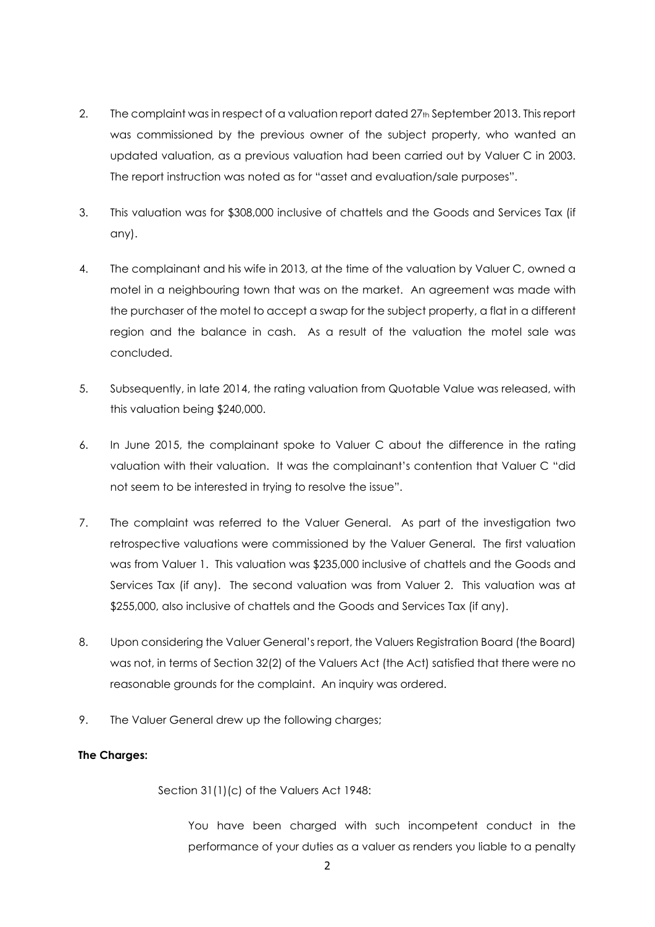- 2. The complaint was in respect of a valuation report dated 27<sup>th</sup> September 2013. This report was commissioned by the previous owner of the subject property, who wanted an updated valuation, as a previous valuation had been carried out by Valuer C in 2003. The report instruction was noted as for "asset and evaluation/sale purposes".
- 3. This valuation was for \$308,000 inclusive of chattels and the Goods and Services Tax (if any).
- 4. The complainant and his wife in 2013, at the time of the valuation by Valuer C, owned a motel in a neighbouring town that was on the market. An agreement was made with the purchaser of the motel to accept a swap for the subject property, a flat in a different region and the balance in cash. As a result of the valuation the motel sale was concluded.
- 5. Subsequently, in late 2014, the rating valuation from Quotable Value was released, with this valuation being \$240,000.
- 6. In June 2015, the complainant spoke to Valuer C about the difference in the rating valuation with their valuation. It was the complainant's contention that Valuer C "did not seem to be interested in trying to resolve the issue".
- 7. The complaint was referred to the Valuer General. As part of the investigation two retrospective valuations were commissioned by the Valuer General. The first valuation was from Valuer 1. This valuation was \$235,000 inclusive of chattels and the Goods and Services Tax (if any). The second valuation was from Valuer 2. This valuation was at \$255,000, also inclusive of chattels and the Goods and Services Tax (if any).
- 8. Upon considering the Valuer General's report, the Valuers Registration Board (the Board) was not, in terms of Section 32(2) of the Valuers Act (the Act) satisfied that there were no reasonable grounds for the complaint. An inquiry was ordered.
- 9. The Valuer General drew up the following charges;

# **The Charges:**

Section 31(1)(c) of the Valuers Act 1948:

You have been charged with such incompetent conduct in the performance of your duties as a valuer as renders you liable to a penalty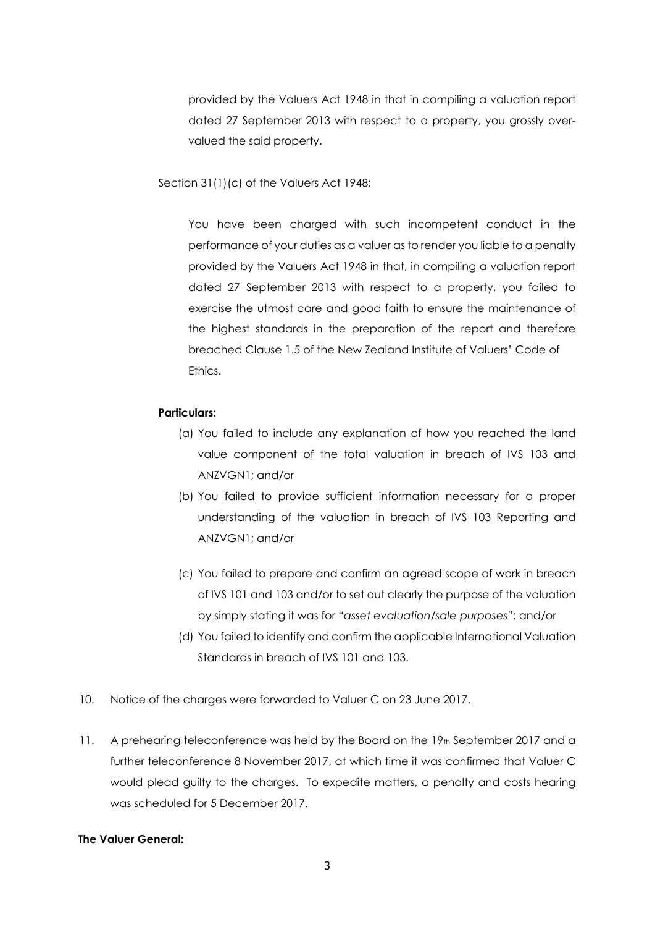provided by the Valuers Act 1948 in that in compiling a valuation report dated 27 September 2013 with respect to a property, you grossly overvalued the said property.

Section 31(1)(c) of the Valuers Act 1948:

You have been charged with such incompetent conduct in the performance of your duties as a valuer as to render you liable to a penalty provided by the Valuers Act 1948 in that, in compiling a valuation report dated 27 September 2013 with respect to a property, you failed to exercise the utmost care and good faith to ensure the maintenance of the highest standards in the preparation of the report and therefore breached Clause 1.5 of the New Zealand Institute of Valuers' Code of **Ethics** 

## **Particulars:**

- (a) You failed to include any explanation of how you reached the land value component of the total valuation in breach of IVS 103 and ANZVGN1; and/or
- (b) You failed to provide sufficient information necessary for a proper understanding of the valuation in breach of IVS 103 Reporting and ANZVGN1; and/or
- (c) You failed to prepare and confirm an agreed scope of work in breach of IVS 101 and 103 and/or to set out clearly the purpose of the valuation by simply stating it was for *"asset evaluation/sale purposes"*; and/or
- (d) You failed to identify and confirm the applicable International Valuation Standards in breach of IVS 101 and 103.
- 10. Notice of the charges were forwarded to Valuer C on 23 June 2017.
- 11. A prehearing teleconference was held by the Board on the 19th September 2017 and a further teleconference 8 November 2017, at which time it was confirmed that Valuer C would plead guilty to the charges. To expedite matters, a penalty and costs hearing was scheduled for 5 December 2017.

### **The Valuer General:**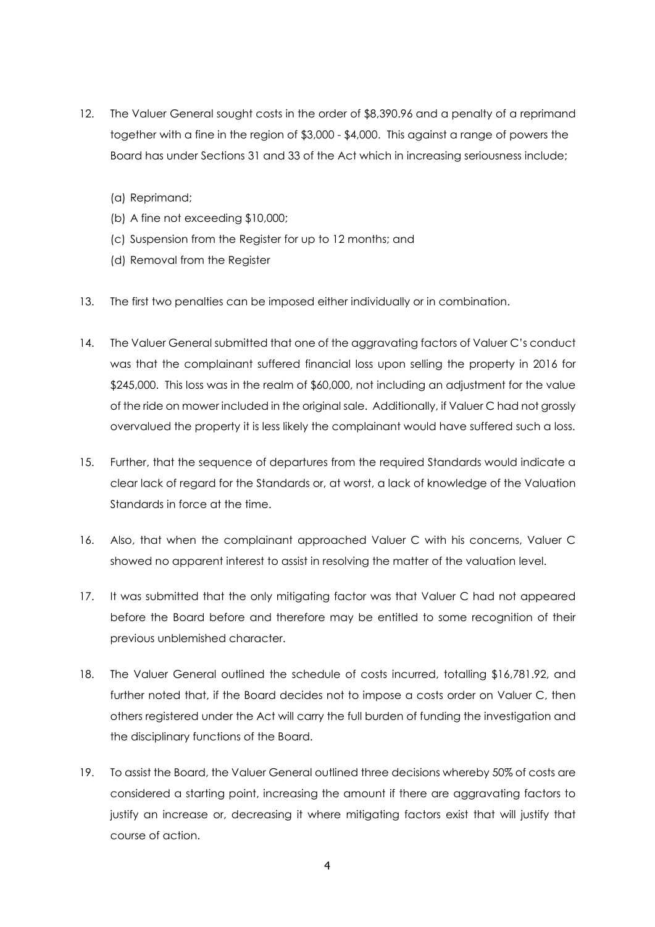- 12. The Valuer General sought costs in the order of \$8,390.96 and a penalty of a reprimand together with a fine in the region of \$3,000 - \$4,000. This against a range of powers the Board has under Sections 31 and 33 of the Act which in increasing seriousness include;
	- (a) Reprimand;
	- (b) A fine not exceeding \$10,000;
	- (c) Suspension from the Register for up to 12 months; and
	- (d) Removal from the Register
- 13. The first two penalties can be imposed either individually or in combination.
- 14. The Valuer General submitted that one of the aggravating factors of Valuer C's conduct was that the complainant suffered financial loss upon selling the property in 2016 for \$245,000. This loss was in the realm of \$60,000, not including an adjustment for the value of the ride on mower included in the original sale. Additionally, if Valuer C had not grossly overvalued the property it is less likely the complainant would have suffered such a loss.
- 15. Further, that the sequence of departures from the required Standards would indicate a clear lack of regard for the Standards or, at worst, a lack of knowledge of the Valuation Standards in force at the time.
- 16. Also, that when the complainant approached Valuer C with his concerns, Valuer C showed no apparent interest to assist in resolving the matter of the valuation level.
- 17. It was submitted that the only mitigating factor was that Valuer C had not appeared before the Board before and therefore may be entitled to some recognition of their previous unblemished character.
- 18. The Valuer General outlined the schedule of costs incurred, totalling \$16,781.92, and further noted that, if the Board decides not to impose a costs order on Valuer C, then others registered under the Act will carry the full burden of funding the investigation and the disciplinary functions of the Board.
- 19. To assist the Board, the Valuer General outlined three decisions whereby 50% of costs are considered a starting point, increasing the amount if there are aggravating factors to justify an increase or, decreasing it where mitigating factors exist that will justify that course of action.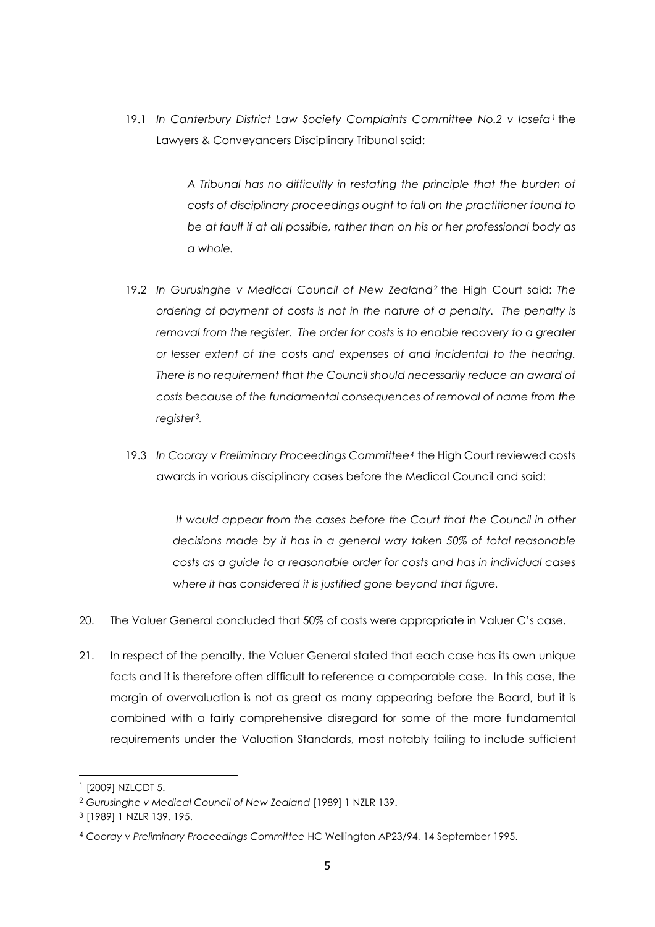19.1 *In Canterbury District Law Society Complaints Committee No.2 v Iosefa[1](#page-4-0)* the Lawyers & Conveyancers Disciplinary Tribunal said:

> *A Tribunal has no difficultly in restating the principle that the burden of costs of disciplinary proceedings ought to fall on the practitioner found to be at fault if at all possible, rather than on his or her professional body as a whole.*

- 19.2 *In Gurusinghe v Medical Council of New Zealand[2](#page-4-1)* the High Court said: *The ordering of payment of costs is not in the nature of a penalty. The penalty is removal from the register. The order for costs is to enable recovery to a greater or lesser extent of the costs and expenses of and incidental to the hearing. There is no requirement that the Council should necessarily reduce an award of costs because of the fundamental consequences of removal of name from the register[3](#page-4-2).*
- 19.3 *In Cooray v Preliminary Proceedings Committee[4](#page-4-3)* the High Court reviewed costs awards in various disciplinary cases before the Medical Council and said:

*It would appear from the cases before the Court that the Council in other decisions made by it has in a general way taken 50% of total reasonable costs as a guide to a reasonable order for costs and has in individual cases where it has considered it is justified gone beyond that figure.* 

- 20. The Valuer General concluded that 50% of costs were appropriate in Valuer C's case.
- 21. In respect of the penalty, the Valuer General stated that each case has its own unique facts and it is therefore often difficult to reference a comparable case. In this case, the margin of overvaluation is not as great as many appearing before the Board, but it is combined with a fairly comprehensive disregard for some of the more fundamental requirements under the Valuation Standards, most notably failing to include sufficient

<span id="page-4-0"></span><sup>1</sup> [2009] NZLCDT 5.

<span id="page-4-1"></span><sup>2</sup> *Gurusinghe v Medical Council of New Zealand* [1989] 1 NZLR 139.

<span id="page-4-2"></span><sup>3</sup> [1989] 1 NZLR 139, 195.

<span id="page-4-3"></span><sup>4</sup> *Cooray v Preliminary Proceedings Committee* HC Wellington AP23/94, 14 September 1995.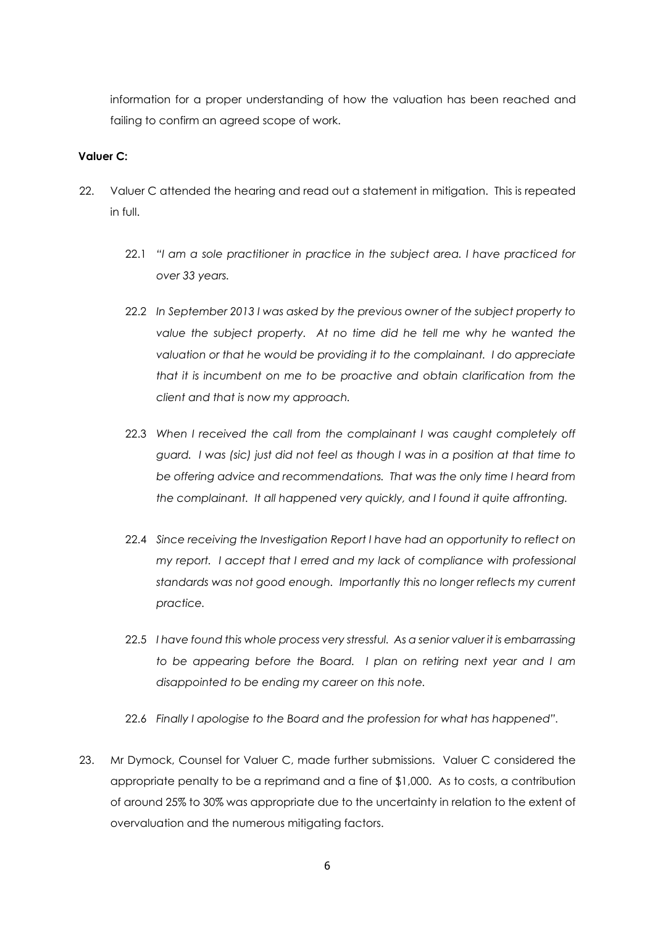information for a proper understanding of how the valuation has been reached and failing to confirm an agreed scope of work.

## **Valuer C:**

- 22. Valuer C attended the hearing and read out a statement in mitigation. This is repeated in full.
	- 22.1 *"I am a sole practitioner in practice in the subject area. I have practiced for over 33 years.*
	- 22.2 *In September 2013 I was asked by the previous owner of the subject property to value the subject property. At no time did he tell me why he wanted the valuation or that he would be providing it to the complainant. I do appreciate that it is incumbent on me to be proactive and obtain clarification from the client and that is now my approach.*
	- 22.3 *When I received the call from the complainant I was caught completely off guard. I was (sic) just did not feel as though I was in a position at that time to be offering advice and recommendations. That was the only time I heard from the complainant. It all happened very quickly, and I found it quite affronting.*
	- 22.4 *Since receiving the Investigation Report I have had an opportunity to reflect on my report. I accept that I erred and my lack of compliance with professional standards was not good enough. Importantly this no longer reflects my current practice.*
	- 22.5 *I have found this whole process very stressful. As a senior valuer it is embarrassing to be appearing before the Board. I plan on retiring next year and I am disappointed to be ending my career on this note.*
	- 22.6 *Finally I apologise to the Board and the profession for what has happened".*
- 23. Mr Dymock, Counsel for Valuer C, made further submissions. Valuer C considered the appropriate penalty to be a reprimand and a fine of \$1,000. As to costs, a contribution of around 25% to 30% was appropriate due to the uncertainty in relation to the extent of overvaluation and the numerous mitigating factors.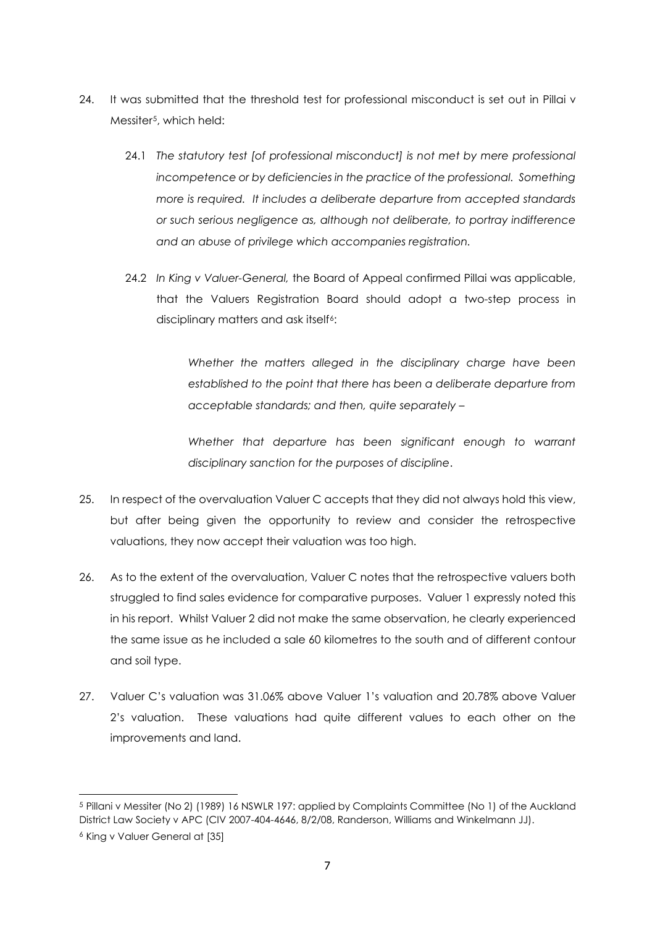- 24. It was submitted that the threshold test for professional misconduct is set out in Pillai v Messiter<sup>5</sup>, which held:
	- 24.1 *The statutory test [of professional misconduct] is not met by mere professional incompetence or by deficiencies in the practice of the professional. Something more is required. It includes a deliberate departure from accepted standards or such serious negligence as, although not deliberate, to portray indifference and an abuse of privilege which accompanies registration.*
	- 24.2 *In King v Valuer-General,* the Board of Appeal confirmed Pillai was applicable, that the Valuers Registration Board should adopt a two-step process in disciplinary matters and ask itself<sup>6</sup>:

*Whether the matters alleged in the disciplinary charge have been established to the point that there has been a deliberate departure from acceptable standards; and then, quite separately –* 

*Whether that departure has been significant enough to warrant disciplinary sanction for the purposes of discipline*.

- 25. In respect of the overvaluation Valuer C accepts that they did not always hold this view, but after being given the opportunity to review and consider the retrospective valuations, they now accept their valuation was too high.
- 26. As to the extent of the overvaluation, Valuer C notes that the retrospective valuers both struggled to find sales evidence for comparative purposes. Valuer 1 expressly noted this in his report. Whilst Valuer 2 did not make the same observation, he clearly experienced the same issue as he included a sale 60 kilometres to the south and of different contour and soil type.
- 27. Valuer C's valuation was 31.06% above Valuer 1's valuation and 20.78% above Valuer 2's valuation. These valuations had quite different values to each other on the improvements and land.

<span id="page-6-1"></span><span id="page-6-0"></span><sup>5</sup> Pillani v Messiter (No 2) (1989) 16 NSWLR 197: applied by Complaints Committee (No 1) of the Auckland District Law Society v APC (CIV 2007-404-4646, 8/2/08, Randerson, Williams and Winkelmann JJ). <sup>6</sup> King v Valuer General at [35]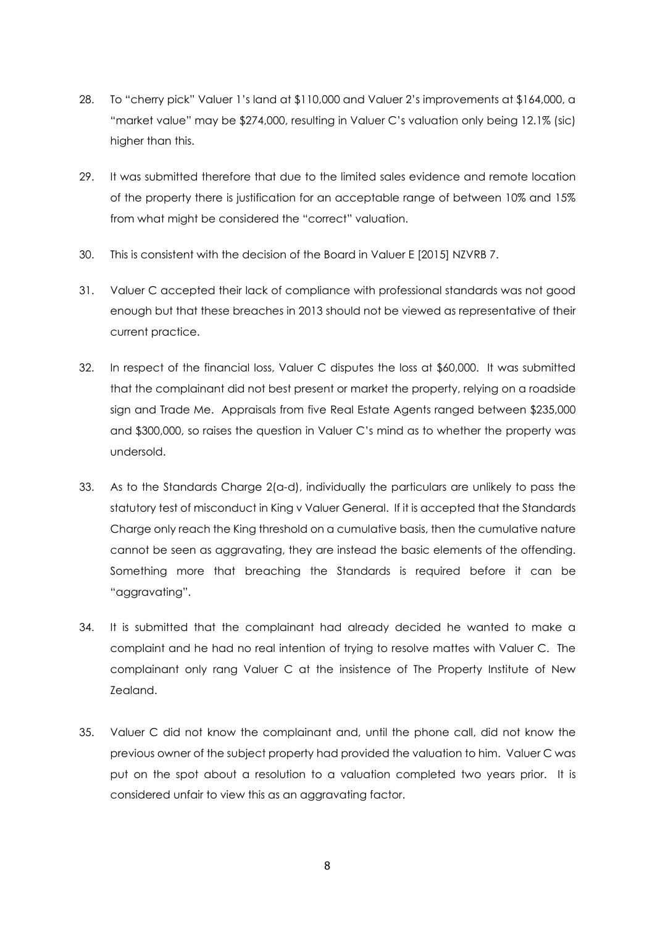- 28. To "cherry pick" Valuer 1's land at \$110,000 and Valuer 2's improvements at \$164,000, a "market value" may be \$274,000, resulting in Valuer C's valuation only being 12.1% (sic) higher than this.
- 29. It was submitted therefore that due to the limited sales evidence and remote location of the property there is justification for an acceptable range of between 10% and 15% from what might be considered the "correct" valuation.
- 30. This is consistent with the decision of the Board in Valuer E [2015] NZVRB 7.
- 31. Valuer C accepted their lack of compliance with professional standards was not good enough but that these breaches in 2013 should not be viewed as representative of their current practice.
- 32. In respect of the financial loss, Valuer C disputes the loss at \$60,000. It was submitted that the complainant did not best present or market the property, relying on a roadside sign and Trade Me. Appraisals from five Real Estate Agents ranged between \$235,000 and \$300,000, so raises the question in Valuer C's mind as to whether the property was undersold.
- 33. As to the Standards Charge 2(a-d), individually the particulars are unlikely to pass the statutory test of misconduct in King v Valuer General. If it is accepted that the Standards Charge only reach the King threshold on a cumulative basis, then the cumulative nature cannot be seen as aggravating, they are instead the basic elements of the offending. Something more that breaching the Standards is required before it can be "aggravating".
- 34. It is submitted that the complainant had already decided he wanted to make a complaint and he had no real intention of trying to resolve mattes with Valuer C. The complainant only rang Valuer C at the insistence of The Property Institute of New Zealand.
- 35. Valuer C did not know the complainant and, until the phone call, did not know the previous owner of the subject property had provided the valuation to him. Valuer C was put on the spot about a resolution to a valuation completed two years prior. It is considered unfair to view this as an aggravating factor.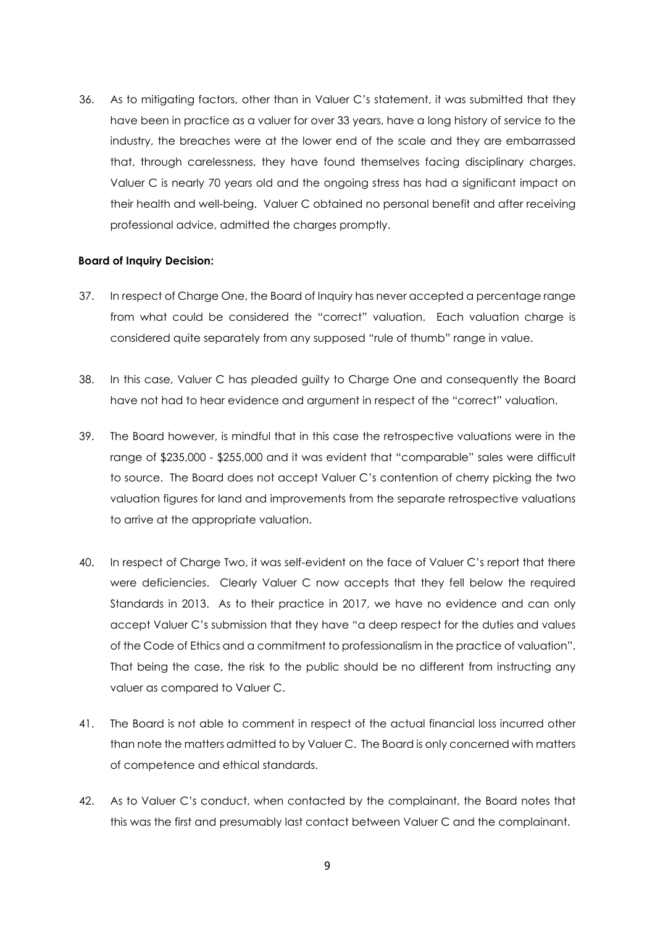36. As to mitigating factors, other than in Valuer C's statement, it was submitted that they have been in practice as a valuer for over 33 years, have a long history of service to the industry, the breaches were at the lower end of the scale and they are embarrassed that, through carelessness, they have found themselves facing disciplinary charges. Valuer C is nearly 70 years old and the ongoing stress has had a significant impact on their health and well-being. Valuer C obtained no personal benefit and after receiving professional advice, admitted the charges promptly.

#### **Board of Inquiry Decision:**

- 37. In respect of Charge One, the Board of Inquiry has never accepted a percentage range from what could be considered the "correct" valuation. Each valuation charge is considered quite separately from any supposed "rule of thumb" range in value.
- 38. In this case, Valuer C has pleaded guilty to Charge One and consequently the Board have not had to hear evidence and argument in respect of the "correct" valuation.
- 39. The Board however, is mindful that in this case the retrospective valuations were in the range of \$235,000 - \$255,000 and it was evident that "comparable" sales were difficult to source. The Board does not accept Valuer C's contention of cherry picking the two valuation figures for land and improvements from the separate retrospective valuations to arrive at the appropriate valuation.
- 40. In respect of Charge Two, it was self-evident on the face of Valuer C's report that there were deficiencies. Clearly Valuer C now accepts that they fell below the required Standards in 2013. As to their practice in 2017, we have no evidence and can only accept Valuer C's submission that they have "a deep respect for the duties and values of the Code of Ethics and a commitment to professionalism in the practice of valuation". That being the case, the risk to the public should be no different from instructing any valuer as compared to Valuer C.
- 41. The Board is not able to comment in respect of the actual financial loss incurred other than note the matters admitted to by Valuer C. The Board is only concerned with matters of competence and ethical standards.
- 42. As to Valuer C's conduct, when contacted by the complainant, the Board notes that this was the first and presumably last contact between Valuer C and the complainant.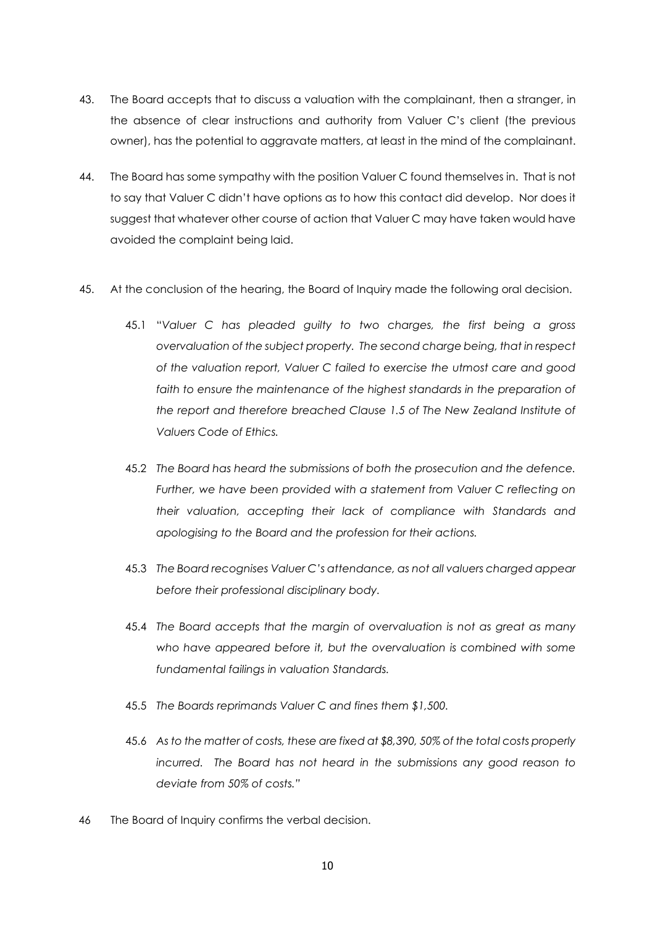- 43. The Board accepts that to discuss a valuation with the complainant, then a stranger, in the absence of clear instructions and authority from Valuer C's client (the previous owner), has the potential to aggravate matters, at least in the mind of the complainant.
- 44. The Board has some sympathy with the position Valuer C found themselves in. That is not to say that Valuer C didn't have options as to how this contact did develop. Nor does it suggest that whatever other course of action that Valuer C may have taken would have avoided the complaint being laid.
- 45. At the conclusion of the hearing, the Board of Inquiry made the following oral decision.
	- 45.1 "*Valuer C has pleaded guilty to two charges, the first being a gross overvaluation of the subject property. The second charge being, that in respect of the valuation report, Valuer C failed to exercise the utmost care and good*  faith to ensure the maintenance of the highest standards in the preparation of *the report and therefore breached Clause 1.5 of The New Zealand Institute of Valuers Code of Ethics.*
	- 45.2 *The Board has heard the submissions of both the prosecution and the defence.*  Further, we have been provided with a statement from Valuer C reflecting on *their valuation, accepting their lack of compliance with Standards and apologising to the Board and the profession for their actions.*
	- 45.3 *The Board recognises Valuer C's attendance, as not all valuers charged appear before their professional disciplinary body.*
	- 45.4 *The Board accepts that the margin of overvaluation is not as great as many who have appeared before it, but the overvaluation is combined with some fundamental failings in valuation Standards.*
	- 45.5 *The Boards reprimands Valuer C and fines them \$1,500.*
	- 45.6 *As to the matter of costs, these are fixed at \$8,390, 50% of the total costs properly incurred. The Board has not heard in the submissions any good reason to deviate from 50% of costs."*
- 46 The Board of Inquiry confirms the verbal decision.